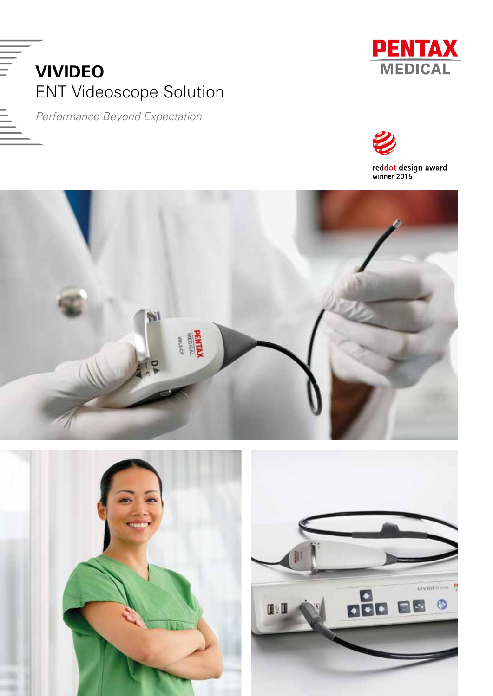



*Performance Beyond Expectation*



reddot design award<br>winner 2015





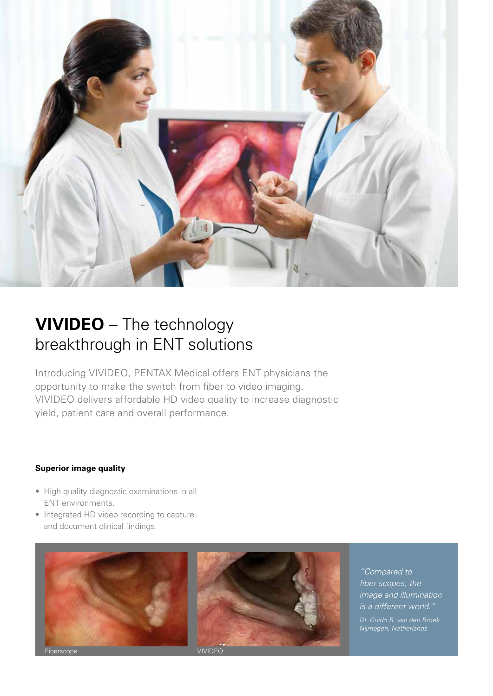

# **VIVIDEO** – The technology breakthrough in ENT solutions

Introducing VIVIDEO, PENTAX Medical offers ENT physicians the opportunity to make the switch from fiber to video imaging. VIVIDEO delivers affordable HD video quality to increase diagnostic yield, patient care and overall performance.

# **Superior image quality**

- High quality diagnostic examinations in all ENT environments.
- Integrated HD video recording to capture and document clinical findings.



*"Compared to fiber scopes, the image and illumination is a different world."* 

*Nijmegen, Netherlands*

VIVIDEO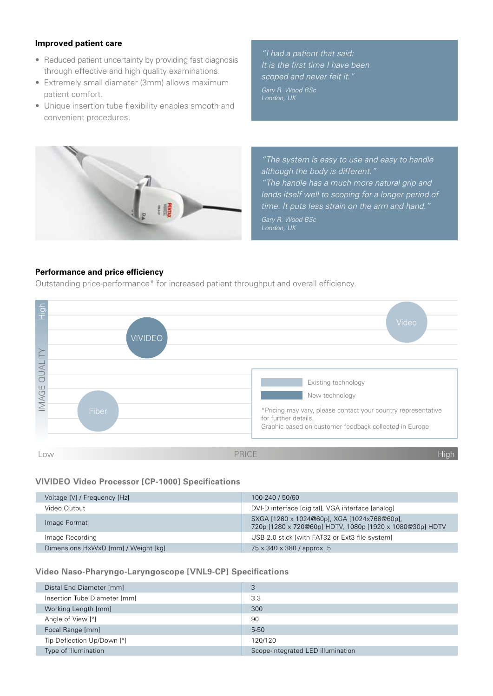# **Improved patient care**

- Reduced patient uncertainty by providing fast diagnosis through effective and high quality examinations.
- Extremely small diameter (3mm) allows maximum patient comfort.
- Unique insertion tube flexibility enables smooth and convenient procedures.

*"I had a patient that said: It is the first time I have been scoped and never felt it."* 

*Gary R. Wood BSc* 



*"The system is easy to use and easy to handle although the body is different." "The handle has a much more natural grip and lends itself well to scoping for a longer period of time. It puts less strain on the arm and hand." Gary R. Wood BSc*

# **Performance and price efficiency**

Outstanding price-performance\* for increased patient throughput and overall efficiency.



# **VIVIDEO Video Processor [CP-1000] Specifications**

| Voltage [V] / Frequency [Hz]        | 100-240 / 50/60                                                                                         |
|-------------------------------------|---------------------------------------------------------------------------------------------------------|
| Video Output                        | DVI-D interface [digital], VGA interface [analog]                                                       |
| Image Format                        | SXGA [1280 x 1024@60p], XGA [1024x768@60p],<br>720p [1280 x 720@60p] HDTV, 1080p [1920 x 1080@30p] HDTV |
| Image Recording                     | USB 2.0 stick [with FAT32 or Ext3 file system]                                                          |
| Dimensions HxWxD [mm] / Weight [kg] | 75 x 340 x 380 / approx. 5                                                                              |

## **Video Naso-Pharyngo-Laryngoscope [VNL9-CP] Specifications**

| Distal End Diameter [mm]     | 3                                 |
|------------------------------|-----------------------------------|
| Insertion Tube Diameter [mm] | 3.3                               |
| Working Length [mm]          | 300                               |
| Angle of View [°]            | 90                                |
| Focal Range [mm]             | $5-50$                            |
| Tip Deflection Up/Down [°]   | 120/120                           |
| Type of illumination         | Scope-integrated LED illumination |